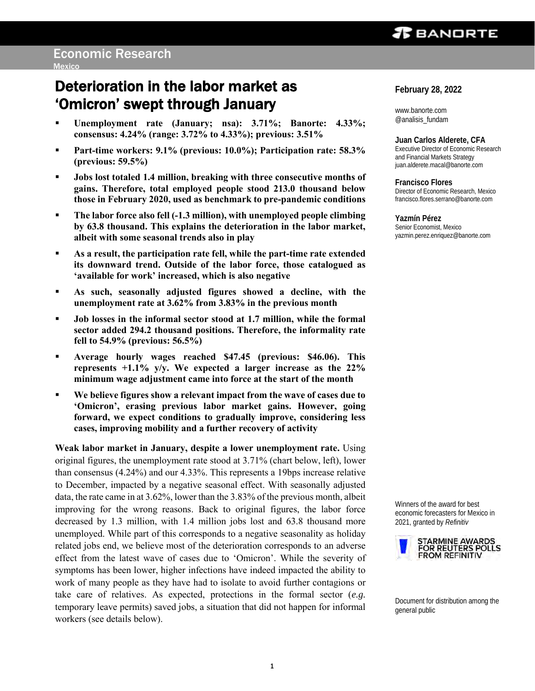### *TEBANDRTE*

## Deterioration in the labor market as 'Omicron' swept through January

- **Unemployment rate (January; nsa): 3.71%; Banorte: 4.33%; consensus: 4.24% (range: 3.72% to 4.33%); previous: 3.51%**
- **Part-time workers: 9.1% (previous: 10.0%); Participation rate: 58.3% (previous: 59.5%)**
- **Jobs lost totaled 1.4 million, breaking with three consecutive months of gains. Therefore, total employed people stood 213.0 thousand below those in February 2020, used as benchmark to pre-pandemic conditions**
- **The labor force also fell (-1.3 million), with unemployed people climbing by 63.8 thousand. This explains the deterioration in the labor market, albeit with some seasonal trends also in play**
- As a result, the participation rate fell, while the part-time rate extended **its downward trend. Outside of the labor force, those catalogued as 'available for work' increased, which is also negative**
- **As such, seasonally adjusted figures showed a decline, with the unemployment rate at 3.62% from 3.83% in the previous month**
- **Job losses in the informal sector stood at 1.7 million, while the formal sector added 294.2 thousand positions. Therefore, the informality rate fell to 54.9% (previous: 56.5%)**
- **Average hourly wages reached \$47.45 (previous: \$46.06). This represents +1.1% y/y. We expected a larger increase as the 22% minimum wage adjustment came into force at the start of the month**
- We believe figures show a relevant impact from the wave of cases due to **'Omicron', erasing previous labor market gains. However, going forward, we expect conditions to gradually improve, considering less cases, improving mobility and a further recovery of activity**

**Weak labor market in January, despite a lower unemployment rate.** Using original figures, the unemployment rate stood at 3.71% (chart below, left), lower than consensus (4.24%) and our 4.33%. This represents a 19bps increase relative to December, impacted by a negative seasonal effect. With seasonally adjusted data, the rate came in at 3.62%, lower than the 3.83% of the previous month, albeit improving for the wrong reasons. Back to original figures, the labor force decreased by 1.3 million, with 1.4 million jobs lost and 63.8 thousand more unemployed. While part of this corresponds to a negative seasonality as holiday related jobs end, we believe most of the deterioration corresponds to an adverse effect from the latest wave of cases due to 'Omicron'. While the severity of symptoms has been lower, higher infections have indeed impacted the ability to work of many people as they have had to isolate to avoid further contagions or take care of relatives. As expected, protections in the formal sector (*e.g.*  temporary leave permits) saved jobs, a situation that did not happen for informal workers (see details below).

**February 28, 2022**

www.banorte.com @analisis\_fundam

**Juan Carlos Alderete, CFA** Executive Director of Economic Research and Financial Markets Strategy juan.alderete.macal@banorte.com

**Francisco Flores** Director of Economic Research, Mexico francisco.flores.serrano@banorte.com

**Yazmín Pérez** Senior Economist, Mexico yazmin.perez.enriquez@banorte.com

Winners of the award for best economic forecasters for Mexico in 2021, granted by *Refinitiv*



Document for distribution among the general public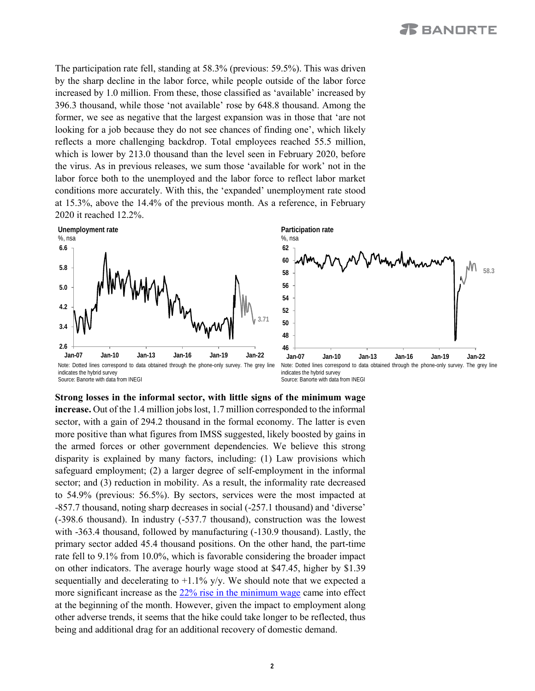The participation rate fell, standing at 58.3% (previous: 59.5%). This was driven by the sharp decline in the labor force, while people outside of the labor force increased by 1.0 million. From these, those classified as 'available' increased by 396.3 thousand, while those 'not available' rose by 648.8 thousand. Among the former, we see as negative that the largest expansion was in those that 'are not looking for a job because they do not see chances of finding one', which likely reflects a more challenging backdrop. Total employees reached 55.5 million, which is lower by 213.0 thousand than the level seen in February 2020, before the virus. As in previous releases, we sum those 'available for work' not in the labor force both to the unemployed and the labor force to reflect labor market conditions more accurately. With this, the 'expanded' unemployment rate stood at 15.3%, above the 14.4% of the previous month. As a reference, in February 2020 it reached 12.2%.





Note: Dotted lines correspond to data obtained through the phone-only survey. The grey line indicates the hybrid survey Source: Banorte with data from INEGI

**Strong losses in the informal sector, with little signs of the minimum wage increase.** Out of the 1.4 million jobs lost, 1.7 million corresponded to the informal sector, with a gain of 294.2 thousand in the formal economy. The latter is even more positive than what figures from IMSS suggested, likely boosted by gains in the armed forces or other government dependencies. We believe this strong disparity is explained by many factors, including: (1) Law provisions which safeguard employment; (2) a larger degree of self-employment in the informal sector; and (3) reduction in mobility. As a result, the informality rate decreased to 54.9% (previous: 56.5%). By sectors, services were the most impacted at -857.7 thousand, noting sharp decreases in social (-257.1 thousand) and 'diverse' (-398.6 thousand). In industry (-537.7 thousand), construction was the lowest with -363.4 thousand, followed by manufacturing (-130.9 thousand). Lastly, the primary sector added 45.4 thousand positions. On the other hand, the part-time rate fell to 9.1% from 10.0%, which is favorable considering the broader impact on other indicators. The average hourly wage stood at \$47.45, higher by \$1.39 sequentially and decelerating to  $+1.1\%$  y/y. We should note that we expected a more significant increase as the [22% rise in the minimum wage](https://www.banorte.com/cms/casadebolsabanorteixe/analisisyestrategia/analisiseconomico/mexico/20211202_Minimum_Wage_2022.pdf) came into effect at the beginning of the month. However, given the impact to employment along other adverse trends, it seems that the hike could take longer to be reflected, thus being and additional drag for an additional recovery of domestic demand.

**2**

Note: Dotted lines correspond to data obtained through the phone-only survey. The grey line indicates the hybrid survey Source: Banorte with data from INEGI **Jan-07 Jan-10 Jan-13 Jan-16 Jan-19 Jan-22**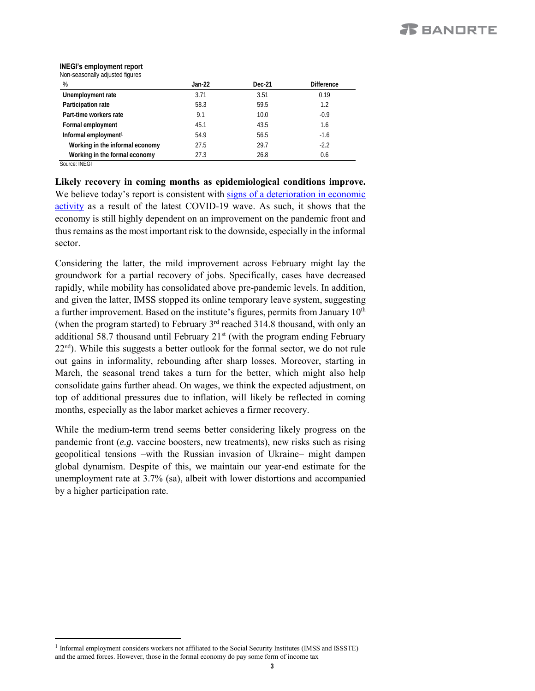#### **INEGI's employment report** Non-seasonally adjusted figures

| %                                | Jan-22 | Dec-21 | <b>Difference</b> |
|----------------------------------|--------|--------|-------------------|
| Unemployment rate                | 3.71   | 3.51   | 0.19              |
| Participation rate               | 58.3   | 59.5   | 1.2               |
| Part-time workers rate           | 9.1    | 10.0   | $-0.9$            |
| Formal employment                | 45.1   | 43.5   | 1.6               |
| Informal employment <sup>1</sup> | 54.9   | 56.5   | $-1.6$            |
| Working in the informal economy  | 27.5   | 29.7   | $-2.2$            |
| Working in the formal economy    | 27.3   | 26.8   | 0.6               |

Source: INEGI

 $\overline{a}$ 

**Likely recovery in coming months as epidemiological conditions improve.** We believe today's report is consistent with signs of a [deterioration](https://www.banorte.com/cms/casadebolsabanorteixe/analisisyestrategia/analisiseconomico/mexico/20220218_Timely_Indicator_Jan.pdf) in economic [activity](https://www.banorte.com/cms/casadebolsabanorteixe/analisisyestrategia/analisiseconomico/mexico/20220218_Timely_Indicator_Jan.pdf) as a result of the latest COVID-19 wave. As such, it shows that the economy is still highly dependent on an improvement on the pandemic front and thus remains as the most important risk to the downside, especially in the informal sector.

Considering the latter, the mild improvement across February might lay the groundwork for a partial recovery of jobs. Specifically, cases have decreased rapidly, while mobility has consolidated above pre-pandemic levels. In addition, and given the latter, IMSS stopped its online temporary leave system, suggesting a further improvement. Based on the institute's figures, permits from January 10<sup>th</sup> (when the program started) to February  $3<sup>rd</sup>$  reached 314.8 thousand, with only an additional 58.7 thousand until February  $21<sup>st</sup>$  (with the program ending February 22<sup>nd</sup>). While this suggests a better outlook for the formal sector, we do not rule out gains in informality, rebounding after sharp losses. Moreover, starting in March, the seasonal trend takes a turn for the better, which might also help consolidate gains further ahead. On wages, we think the expected adjustment, on top of additional pressures due to inflation, will likely be reflected in coming months, especially as the labor market achieves a firmer recovery.

While the medium-term trend seems better considering likely progress on the pandemic front (*e.g.* vaccine boosters, new treatments), new risks such as rising geopolitical tensions –with the Russian invasion of Ukraine– might dampen global dynamism. Despite of this, we maintain our year-end estimate for the unemployment rate at 3.7% (sa), albeit with lower distortions and accompanied by a higher participation rate.

<sup>&</sup>lt;sup>1</sup> Informal employment considers workers not affiliated to the Social Security Institutes (IMSS and ISSSTE) and the armed forces. However, those in the formal economy do pay some form of income tax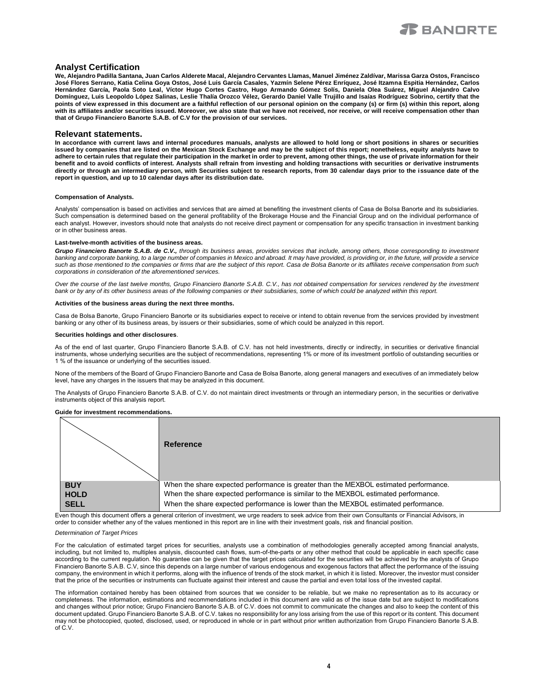

#### **Analyst Certification**

**We, Alejandro Padilla Santana, Juan Carlos Alderete Macal, Alejandro Cervantes Llamas, Manuel Jiménez Zaldívar, Marissa Garza Ostos, Francisco José Flores Serrano, Katia Celina Goya Ostos, José Luis García Casales, Yazmín Selene Pérez Enríquez, José Itzamna Espitia Hernández, Carlos Hernández García, Paola Soto Leal, Víctor Hugo Cortes Castro, Hugo Armando Gómez Solís, Daniela Olea Suárez, Miguel Alejandro Calvo Domínguez, Luis Leopoldo López Salinas, Leslie Thalía Orozco Vélez, Gerardo Daniel Valle Trujillo and Isaías Rodríguez Sobrino, certify that the points of view expressed in this document are a faithful reflection of our personal opinion on the company (s) or firm (s) within this report, along with its affiliates and/or securities issued. Moreover, we also state that we have not received, nor receive, or will receive compensation other than that of Grupo Financiero Banorte S.A.B. of C.V for the provision of our services.**

#### **Relevant statements.**

**In accordance with current laws and internal procedures manuals, analysts are allowed to hold long or short positions in shares or securities issued by companies that are listed on the Mexican Stock Exchange and may be the subject of this report; nonetheless, equity analysts have to adhere to certain rules that regulate their participation in the market in order to prevent, among other things, the use of private information for their benefit and to avoid conflicts of interest. Analysts shall refrain from investing and holding transactions with securities or derivative instruments directly or through an intermediary person, with Securities subject to research reports, from 30 calendar days prior to the issuance date of the report in question, and up to 10 calendar days after its distribution date.**

#### **Compensation of Analysts.**

Analysts' compensation is based on activities and services that are aimed at benefiting the investment clients of Casa de Bolsa Banorte and its subsidiaries. Such compensation is determined based on the general profitability of the Brokerage House and the Financial Group and on the individual performance of each analyst. However, investors should note that analysts do not receive direct payment or compensation for any specific transaction in investment banking or in other business areas.

#### **Last-twelve-month activities of the business areas.**

*Grupo Financiero Banorte S.A.B. de C.V., through its business areas, provides services that include, among others, those corresponding to investment*  banking and corporate banking, to a large number of companies in Mexico and abroad. It may have provided, is providing or, in the future, will provide a service *such as those mentioned to the companies or firms that are the subject of this report. Casa de Bolsa Banorte or its affiliates receive compensation from such corporations in consideration of the aforementioned services.*

*Over the course of the last twelve months, Grupo Financiero Banorte S.A.B. C.V., has not obtained compensation for services rendered by the investment bank or by any of its other business areas of the following companies or their subsidiaries, some of which could be analyzed within this report.*

#### **Activities of the business areas during the next three months.**

Casa de Bolsa Banorte, Grupo Financiero Banorte or its subsidiaries expect to receive or intend to obtain revenue from the services provided by investment banking or any other of its business areas, by issuers or their subsidiaries, some of which could be analyzed in this report.

#### **Securities holdings and other disclosures**.

As of the end of last quarter, Grupo Financiero Banorte S.A.B. of C.V. has not held investments, directly or indirectly, in securities or derivative financial instruments, whose underlying securities are the subject of recommendations, representing 1% or more of its investment portfolio of outstanding securities or 1 % of the issuance or underlying of the securities issued.

None of the members of the Board of Grupo Financiero Banorte and Casa de Bolsa Banorte, along general managers and executives of an immediately below level, have any charges in the issuers that may be analyzed in this document.

The Analysts of Grupo Financiero Banorte S.A.B. of C.V. do not maintain direct investments or through an intermediary person, in the securities or derivative instruments object of this analysis report.

#### **Guide for investment recommendations.**

|             | Reference                                                                                                                                                                                                                             |
|-------------|---------------------------------------------------------------------------------------------------------------------------------------------------------------------------------------------------------------------------------------|
| <b>BUY</b>  | When the share expected performance is greater than the MEXBOL estimated performance.                                                                                                                                                 |
| <b>HOLD</b> | When the share expected performance is similar to the MEXBOL estimated performance.                                                                                                                                                   |
| <b>SELL</b> | When the share expected performance is lower than the MEXBOL estimated performance.<br>Ford Morral Mic document office a decoral admitse of becomercial compared and controlled the first Morral Communication of Firewald Waldege to |

Even though this document offers a general criterion of investment, we urge readers to seek advice from their own Consultants or Financial Advisors, in order to consider whether any of the values mentioned in this report are in line with their investment goals, risk and financial position.

#### *Determination of Target Prices*

For the calculation of estimated target prices for securities, analysts use a combination of methodologies generally accepted among financial analysts, including, but not limited to, multiples analysis, discounted cash flows, sum-of-the-parts or any other method that could be applicable in each specific case according to the current regulation. No guarantee can be given that the target prices calculated for the securities will be achieved by the analysts of Grupo Financiero Banorte S.A.B. C.V, since this depends on a large number of various endogenous and exogenous factors that affect the performance of the issuing company, the environment in which it performs, along with the influence of trends of the stock market, in which it is listed. Moreover, the investor must consider that the price of the securities or instruments can fluctuate against their interest and cause the partial and even total loss of the invested capital.

The information contained hereby has been obtained from sources that we consider to be reliable, but we make no representation as to its accuracy or completeness. The information, estimations and recommendations included in this document are valid as of the issue date but are subject to modifications and changes without prior notice; Grupo Financiero Banorte S.A.B. of C.V. does not commit to communicate the changes and also to keep the content of this document updated. Grupo Financiero Banorte S.A.B. of C.V. takes no responsibility for any loss arising from the use of this report or its content. This document may not be photocopied, quoted, disclosed, used, or reproduced in whole or in part without prior written authorization from Grupo Financiero Banorte S.A.B. of C.V.